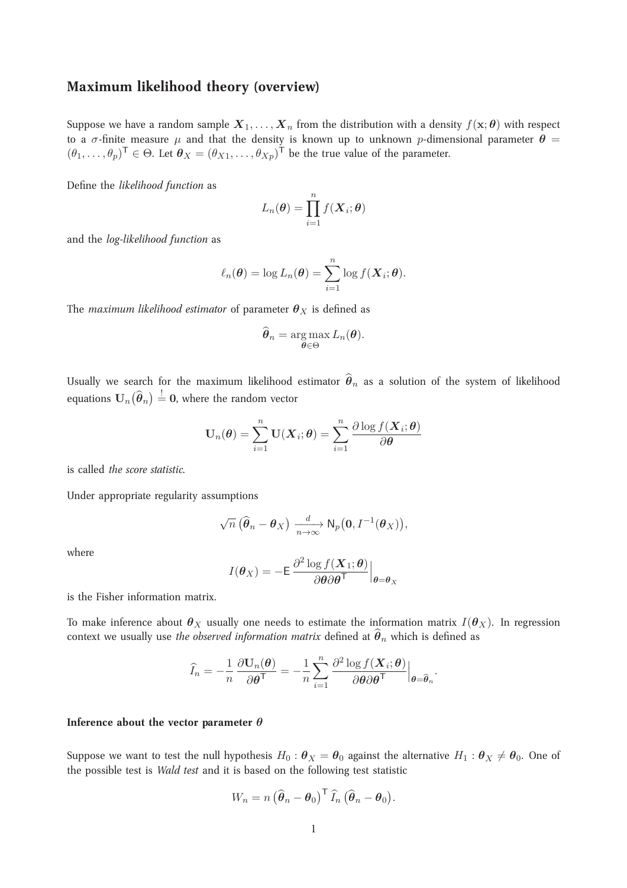# **Maximum likelihood theory (overview)**

Suppose we have a random sample  $X_1, \ldots, X_n$  from the distribution with a density  $f(\mathbf{x}; \theta)$  with respect to a  $\sigma$ -finite measure  $\mu$  and that the density is known up to unknown p-dimensional parameter  $\dot{\theta}$  =  $(\theta_1,\ldots,\theta_p)^\mathsf{T} \in \Theta$ . Let  $\theta_X = (\theta_{X1},\ldots,\theta_{Xp})^\mathsf{T}$  be the true value of the parameter.

Define the *likelihood function* as

$$
L_n(\boldsymbol{\theta}) = \prod_{i=1}^n f(\boldsymbol{X}_i; \boldsymbol{\theta})
$$

and the *log-likelihood function* as

$$
\ell_n(\boldsymbol{\theta}) = \log L_n(\boldsymbol{\theta}) = \sum_{i=1}^n \log f(\boldsymbol{X}_i; \boldsymbol{\theta}).
$$

The *maximum likelihood estimator* of parameter  $\theta_X$  is defined as

$$
\widehat{\boldsymbol{\theta}}_n = \argmax_{\boldsymbol{\theta} \in \Theta} L_n(\boldsymbol{\theta}).
$$

Usually we search for the maximum likelihood estimator  $\hat{\theta}_n$  as a solution of the system of likelihood equations  $\mathbf{U}_n(\widehat{\boldsymbol{\theta}}_n)\overset{!}{=} \mathbf{0},$  where the random vector

$$
\mathbf{U}_n(\boldsymbol{\theta}) = \sum_{i=1}^n \mathbf{U}(\boldsymbol{X}_i; \boldsymbol{\theta}) = \sum_{i=1}^n \frac{\partial \log f(\boldsymbol{X}_i; \boldsymbol{\theta})}{\partial \boldsymbol{\theta}}
$$

is called *the score statistic*.

Under appropriate regularity assumptions

$$
\sqrt{n}\left(\widehat{\boldsymbol{\theta}}_n-\boldsymbol{\theta}_X\right)\xrightarrow[n\to\infty]{d}\mathsf{N}_p\big(\mathbf{0},I^{-1}(\boldsymbol{\theta}_X)\big),
$$

where

$$
I(\boldsymbol{\theta}_X) = -\mathsf{E} \left. \frac{\partial^2 \log f(\boldsymbol{X}_1; \boldsymbol{\theta})}{\partial \boldsymbol{\theta} \partial \boldsymbol{\theta}^\mathsf{T}} \right|_{\boldsymbol{\theta} = \boldsymbol{\theta}_X}
$$

is the Fisher information matrix.

To make inference about  $\theta_X$  usually one needs to estimate the information matrix  $I(\theta_X)$ . In regression context we usually use *the observed information matrix* defined at  $\hat{\theta}_n$  which is defined as

$$
\widehat{I}_n = -\frac{1}{n} \frac{\partial \mathbf{U}_n(\boldsymbol{\theta})}{\partial \boldsymbol{\theta}^\mathsf{T}} = -\frac{1}{n} \sum_{i=1}^n \frac{\partial^2 \log f(\boldsymbol{X}_i; \boldsymbol{\theta})}{\partial \boldsymbol{\theta} \partial \boldsymbol{\theta}^\mathsf{T}} \Big|_{\boldsymbol{\theta} = \widehat{\boldsymbol{\theta}}_n}.
$$

#### **Inference about the vector parameter** θ

Suppose we want to test the null hypothesis  $H_0$ :  $\theta_X = \theta_0$  against the alternative  $H_1$ :  $\theta_X \neq \theta_0$ . One of the possible test is *Wald test* and it is based on the following test statistic

$$
W_n = n \left( \widehat{\boldsymbol{\theta}}_n - \boldsymbol{\theta}_0 \right)^{\mathsf{T}} \widehat{I}_n \left( \widehat{\boldsymbol{\theta}}_n - \boldsymbol{\theta}_0 \right).
$$